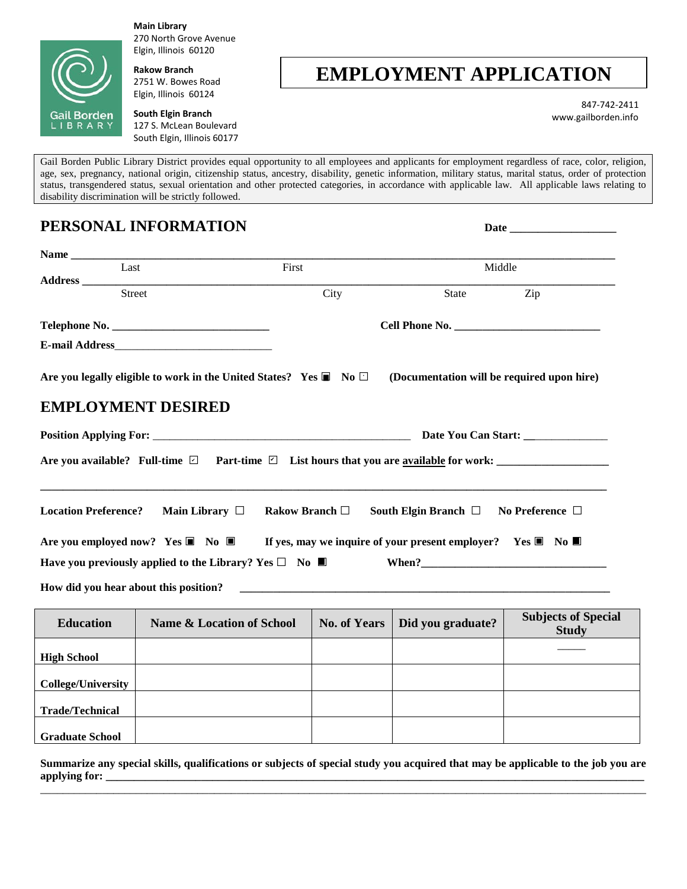

**Main Library** 270 North Grove Avenue Elgin, Illinois 60120

**Rakow Branch** 2751 W. Bowes Road Elgin, Illinois 60124

**South Elgin Branch** 127 S. McLean Boulevard South Elgin, Illinois 60177

## **EMPLOYMENT APPLICATION**

 847-742-2411 www.gailborden.info

Gail Borden Public Library District provides equal opportunity to all employees and applicants for employment regardless of race, color, religion, age, sex, pregnancy, national origin, citizenship status, ancestry, disability, genetic information, military status, marital status, order of protection status, transgendered status, sexual orientation and other protected categories, in accordance with applicable law. All applicable laws relating to disability discrimination will be strictly followed.

## **PERSONAL INFORMATION** Date **Name \_\_\_\_\_\_\_\_\_\_\_\_\_\_\_\_\_\_\_\_\_\_\_\_\_\_\_\_\_\_\_\_\_\_\_\_\_\_\_\_\_\_\_\_\_\_\_\_\_\_\_\_\_\_\_\_\_\_\_\_\_\_\_\_\_\_\_\_\_\_\_\_\_\_\_\_\_\_\_\_\_\_\_\_\_\_\_\_\_\_\_\_\_\_\_\_\_ Last Contract Contract Contract Contract Contract Contract Contract Contract Contract Contract Contract Contract Contract Contract Contract Contract Contract Contract Contract Contract Contract Contract Contract Contrac Address \_\_\_\_\_\_\_\_\_\_\_\_\_\_\_\_\_\_\_\_\_\_\_\_\_\_\_\_\_\_\_\_\_\_\_\_\_\_\_\_\_\_\_\_\_\_\_\_\_\_\_\_\_\_\_\_\_\_\_\_\_\_\_\_\_\_\_\_\_\_\_\_\_\_\_\_\_\_\_\_\_\_\_\_\_\_\_\_\_\_\_\_\_\_\_ Street City** City State Zip **Telephone No.** *Cell Phone No.**Cell Phone No.**<b>Cell Phone No.* **EMPLOYMENT DESIRED Position Applying For:** \_\_\_\_\_\_\_\_\_\_\_\_\_\_\_\_\_\_\_\_\_\_\_\_\_\_\_\_\_\_\_\_\_\_\_\_\_\_\_\_\_\_\_\_\_\_ **Date You Can Start: \_\_**\_\_\_\_\_\_\_\_\_\_\_\_\_ Are you available? Full-time **□** Part-time **□** List hours that you are <u>available</u> for work: \_\_\_\_\_\_\_\_\_\_\_\_\_\_\_\_\_\_\_ **\_\_\_\_\_\_\_\_\_\_\_\_\_\_\_\_\_\_\_\_\_\_\_\_\_\_\_\_\_\_\_\_\_\_\_\_\_\_\_\_\_\_\_\_\_\_\_\_\_\_\_\_\_\_\_\_\_\_\_\_\_\_\_\_\_\_\_\_\_\_\_\_\_\_\_\_\_\_\_\_\_\_\_\_\_\_\_\_\_\_\_\_\_\_\_\_\_\_\_\_\_ Location Preference? Main Library □ Rakow Branch □ South Elgin Branch □ No Preference □ Are you employed now? Yes □ No □ If yes, may we inquire of your present employer? Yes □ No □ Have you previously applied to the Library? Yes**  $\Box$  **No**  $\Box$  **When?** How did you hear about this position? **E-mail Address**\_\_\_\_\_\_\_\_\_\_\_\_\_\_\_\_\_\_\_\_\_\_\_\_\_\_\_\_ Are you legally eligible to work in the United States? Yes ■ No □ ■ **No □ (Documentation will be required upon hire)**

| <b>Education</b>          | Name & Location of School | <b>No. of Years</b> | Did you graduate? | <b>Subjects of Special</b><br><b>Study</b> |
|---------------------------|---------------------------|---------------------|-------------------|--------------------------------------------|
| <b>High School</b>        |                           |                     |                   |                                            |
| <b>College/University</b> |                           |                     |                   |                                            |
| <b>Trade/Technical</b>    |                           |                     |                   |                                            |
| <b>Graduate School</b>    |                           |                     |                   |                                            |

**Summarize any special skills, qualifications or subjects of special study you acquired that may be applicable to the job you are**  applying for: \_\_\_\_\_\_\_\_\_\_\_\_\_\_\_\_\_\_\_\_\_\_\_\_\_\_\_\_\_\_\_\_\_\_\_\_\_\_\_\_\_\_\_\_\_\_\_\_\_\_\_\_\_\_\_\_\_\_\_\_\_\_\_\_\_\_\_\_\_\_\_\_\_\_\_\_\_\_\_\_\_\_\_\_\_\_\_\_\_\_\_\_\_\_\_\_\_\_\_\_\_\_\_\_\_\_\_\_